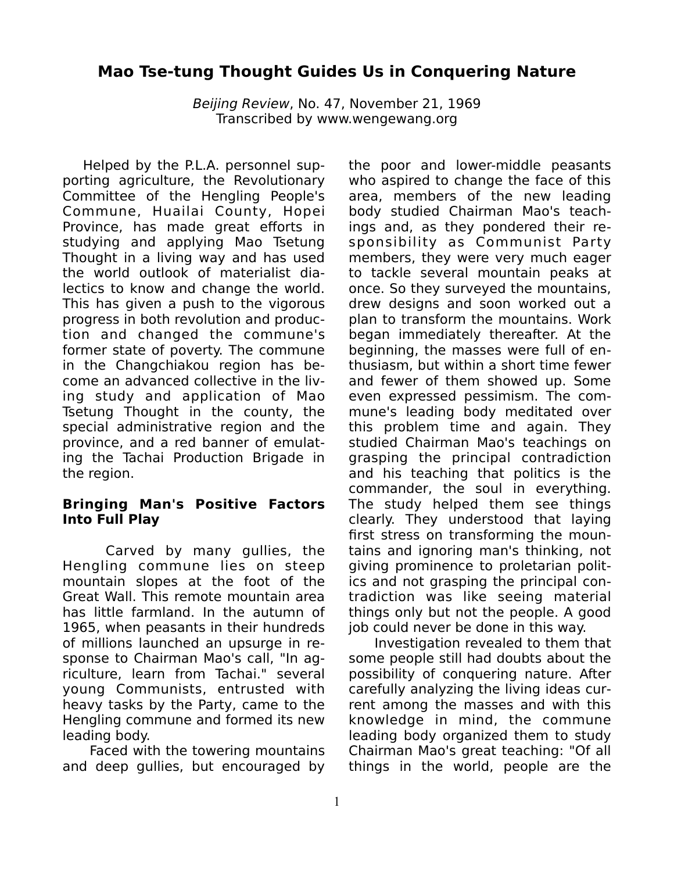# **Mao Tse-tung Thought Guides Us in Conquering Nature**

*Beijing Review*, No. 47, November 21, 1969 Transcribed by www.wengewang.org

Helped by the P.L.A. personnel supporting agriculture, the Revolutionary Committee of the Hengling People's Commune, Huailai County, Hopei Province, has made great efforts in studying and applying Mao Tsetung Thought in a living way and has used the world outlook of materialist dialectics to know and change the world. This has given a push to the vigorous progress in both revolution and production and changed the commune's former state of poverty. The commune in the Changchiakou region has become an advanced collective in the living study and application of Mao Tsetung Thought in the county, the special administrative region and the province, and a red banner of emulating the Tachai Production Brigade in the region.

### **Bringing Man's Positive Factors Into Full Play**

Carved by many gullies, the Hengling commune lies on steep mountain slopes at the foot of the Great Wall. This remote mountain area has little farmland. In the autumn of 1965, when peasants in their hundreds of millions launched an upsurge in response to Chairman Mao's call, "In agriculture, learn from Tachai." several young Communists, entrusted with heavy tasks by the Party, came to the Hengling commune and formed its new leading body.

Faced with the towering mountains and deep gullies, but encouraged by the poor and lower-middle peasants who aspired to change the face of this area, members of the new leading body studied Chairman Mao's teachings and, as they pondered their responsibility as Communist Party members, they were very much eager to tackle several mountain peaks at once. So they surveyed the mountains, drew designs and soon worked out a plan to transform the mountains. Work began immediately thereafter. At the beginning, the masses were full of enthusiasm, but within a short time fewer and fewer of them showed up. Some even expressed pessimism. The commune's leading body meditated over this problem time and again. They studied Chairman Mao's teachings on grasping the principal contradiction and his teaching that politics is the commander, the soul in everything. The study helped them see things clearly. They understood that laying first stress on transforming the mountains and ignoring man's thinking, not giving prominence to proletarian politics and not grasping the principal contradiction was like seeing material things only but not the people. A good job could never be done in this way.

Investigation revealed to them that some people still had doubts about the possibility of conquering nature. After carefully analyzing the living ideas current among the masses and with this knowledge in mind, the commune leading body organized them to study Chairman Mao's great teaching: "Of all things in the world, people are the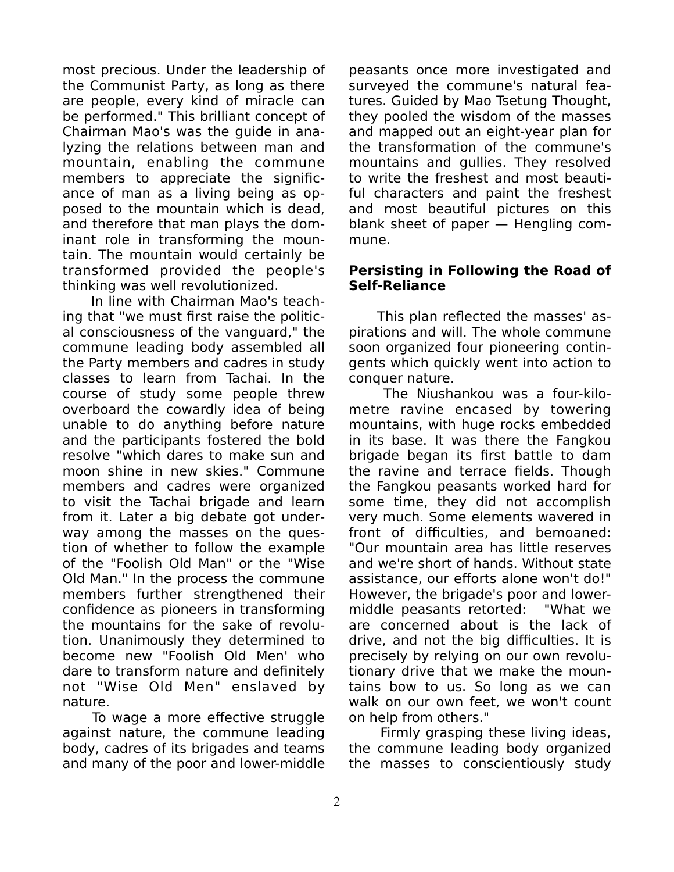most precious. Under the leadership of the Communist Party, as long as there are people, every kind of miracle can be performed." This brilliant concept of Chairman Mao's was the guide in analyzing the relations between man and mountain, enabling the commune members to appreciate the significance of man as a living being as opposed to the mountain which is dead, and therefore that man plays the dominant role in transforming the mountain. The mountain would certainly be transformed provided the people's thinking was well revolutionized.

In line with Chairman Mao's teaching that "we must first raise the political consciousness of the vanguard," the commune leading body assembled all the Party members and cadres in study classes to learn from Tachai. In the course of study some people threw overboard the cowardly idea of being unable to do anything before nature and the participants fostered the bold resolve "which dares to make sun and moon shine in new skies." Commune members and cadres were organized to visit the Tachai brigade and learn from it. Later a big debate got underway among the masses on the question of whether to follow the example of the "Foolish Old Man" or the "Wise Old Man." In the process the commune members further strengthened their confidence as pioneers in transforming the mountains for the sake of revolution. Unanimously they determined to become new "Foolish Old Men' who dare to transform nature and definitely not "Wise Old Men" enslaved by nature.

To wage a more effective struggle against nature, the commune leading body, cadres of its brigades and teams and many of the poor and lower-middle

peasants once more investigated and surveyed the commune's natural features. Guided by Mao Tsetung Thought, they pooled the wisdom of the masses and mapped out an eight-year plan for the transformation of the commune's mountains and gullies. They resolved to write the freshest and most beautiful characters and paint the freshest and most beautiful pictures on this blank sheet of paper — Hengling commune.

### **Persisting in Following the Road of Self-Reliance**

This plan reflected the masses' aspirations and will. The whole commune soon organized four pioneering contingents which quickly went into action to conquer nature.

The Niushankou was a four-kilometre ravine encased by towering mountains, with huge rocks embedded in its base. It was there the Fangkou brigade began its first battle to dam the ravine and terrace fields. Though the Fangkou peasants worked hard for some time, they did not accomplish very much. Some elements wavered in front of difficulties, and bemoaned: "Our mountain area has little reserves and we're short of hands. Without state assistance, our efforts alone won't do!" However, the brigade's poor and lowermiddle peasants retorted: "What we are concerned about is the lack of drive, and not the big difficulties. It is precisely by relying on our own revolutionary drive that we make the mountains bow to us. So long as we can walk on our own feet, we won't count on help from others."

Firmly grasping these living ideas, the commune leading body organized the masses to conscientiously study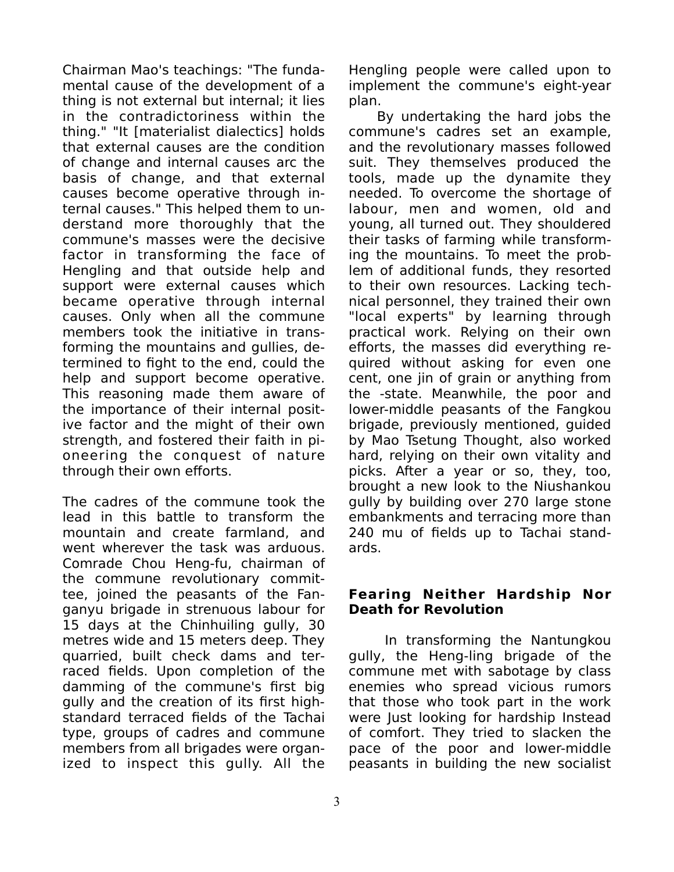Chairman Mao's teachings: "The fundamental cause of the development of a thing is not external but internal; it lies in the contradictoriness within the thing." "It [materialist dialectics] holds that external causes are the condition of change and internal causes arc the basis of change, and that external causes become operative through internal causes." This helped them to understand more thoroughly that the commune's masses were the decisive factor in transforming the face of Hengling and that outside help and support were external causes which became operative through internal causes. Only when all the commune members took the initiative in transforming the mountains and gullies, determined to fight to the end, could the help and support become operative. This reasoning made them aware of the importance of their internal positive factor and the might of their own strength, and fostered their faith in pioneering the conquest of nature through their own efforts.

The cadres of the commune took the lead in this battle to transform the mountain and create farmland, and went wherever the task was arduous. Comrade Chou Heng-fu, chairman of the commune revolutionary committee, joined the peasants of the Fanganyu brigade in strenuous labour for 15 days at the Chinhuiling gully, 30 metres wide and 15 meters deep. They quarried, built check dams and terraced fields. Upon completion of the damming of the commune's first big gully and the creation of its first highstandard terraced fields of the Tachai type, groups of cadres and commune members from all brigades were organized to inspect this gully. All the

Hengling people were called upon to implement the commune's eight-year plan.

By undertaking the hard jobs the commune's cadres set an example, and the revolutionary masses followed suit. They themselves produced the tools, made up the dynamite they needed. To overcome the shortage of labour, men and women, old and young, all turned out. They shouldered their tasks of farming while transforming the mountains. To meet the problem of additional funds, they resorted to their own resources. Lacking technical personnel, they trained their own "local experts" by learning through practical work. Relying on their own efforts, the masses did everything required without asking for even one cent, one jin of grain or anything from the -state. Meanwhile, the poor and lower-middle peasants of the Fangkou brigade, previously mentioned, guided by Mao Tsetung Thought, also worked hard, relying on their own vitality and picks. After a year or so, they, too, brought a new look to the Niushankou gully by building over 270 large stone embankments and terracing more than 240 mu of fields up to Tachai standards.

### **Fearing Neither Hardship Nor Death for Revolution**

In transforming the Nantungkou gully, the Heng-ling brigade of the commune met with sabotage by class enemies who spread vicious rumors that those who took part in the work were Just looking for hardship Instead of comfort. They tried to slacken the pace of the poor and lower-middle peasants in building the new socialist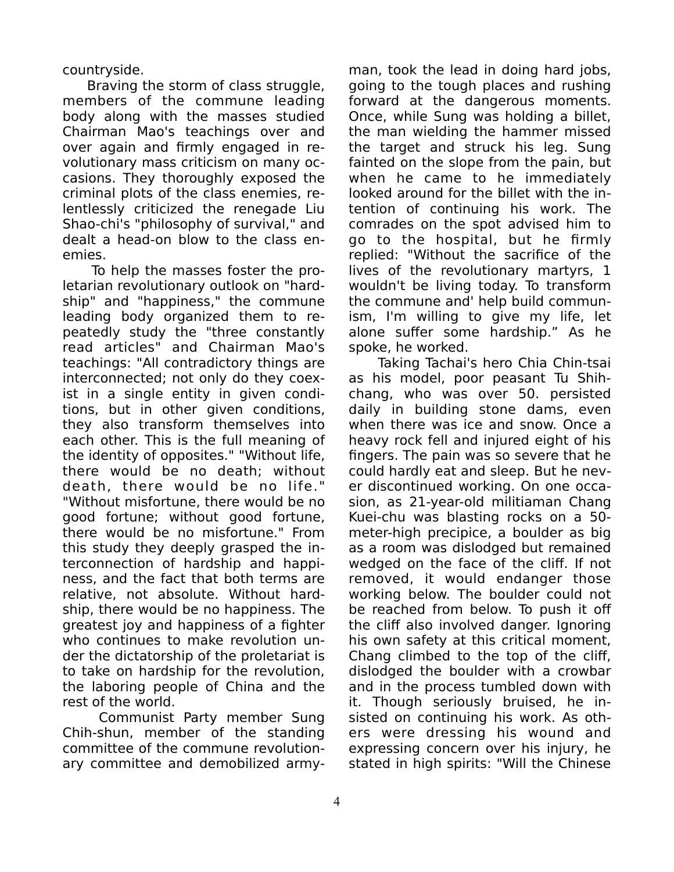countryside.

 Braving the storm of class struggle, members of the commune leading body along with the masses studied Chairman Mao's teachings over and over again and firmly engaged in revolutionary mass criticism on many occasions. They thoroughly exposed the criminal plots of the class enemies, relentlessly criticized the renegade Liu Shao-chi's "philosophy of survival," and dealt a head-on blow to the class enemies.

To help the masses foster the proletarian revolutionary outlook on "hardship" and "happiness," the commune leading body organized them to repeatedly study the "three constantly read articles" and Chairman Mao's teachings: "All contradictory things are interconnected; not only do they coexist in a single entity in given conditions, but in other given conditions, they also transform themselves into each other. This is the full meaning of the identity of opposites." "Without life, there would be no death; without death, there would be no life." "Without misfortune, there would be no good fortune; without good fortune, there would be no misfortune." From this study they deeply grasped the interconnection of hardship and happiness, and the fact that both terms are relative, not absolute. Without hardship, there would be no happiness. The greatest joy and happiness of a fighter who continues to make revolution under the dictatorship of the proletariat is to take on hardship for the revolution, the laboring people of China and the rest of the world.

Communist Party member Sung Chih-shun, member of the standing committee of the commune revolutionary committee and demobilized army-

man, took the lead in doing hard jobs, going to the tough places and rushing forward at the dangerous moments. Once, while Sung was holding a billet, the man wielding the hammer missed the target and struck his leg. Sung fainted on the slope from the pain, but when he came to he immediately looked around for the billet with the intention of continuing his work. The comrades on the spot advised him to go to the hospital, but he firmly replied: "Without the sacrifice of the lives of the revolutionary martyrs, 1 wouldn't be living today. To transform the commune and' help build communism, I'm willing to give my life, let alone suffer some hardship." As he spoke, he worked.

Taking Tachai's hero Chia Chin-tsai as his model, poor peasant Tu Shihchang, who was over 50. persisted daily in building stone dams, even when there was ice and snow. Once a heavy rock fell and injured eight of his fingers. The pain was so severe that he could hardly eat and sleep. But he never discontinued working. On one occasion, as 21-year-old militiaman Chang Kuei-chu was blasting rocks on a 50 meter-high precipice, a boulder as big as a room was dislodged but remained wedged on the face of the cliff. If not removed, it would endanger those working below. The boulder could not be reached from below. To push it off the cliff also involved danger. Ignoring his own safety at this critical moment, Chang climbed to the top of the cliff, dislodged the boulder with a crowbar and in the process tumbled down with it. Though seriously bruised, he insisted on continuing his work. As others were dressing his wound and expressing concern over his injury, he stated in high spirits: "Will the Chinese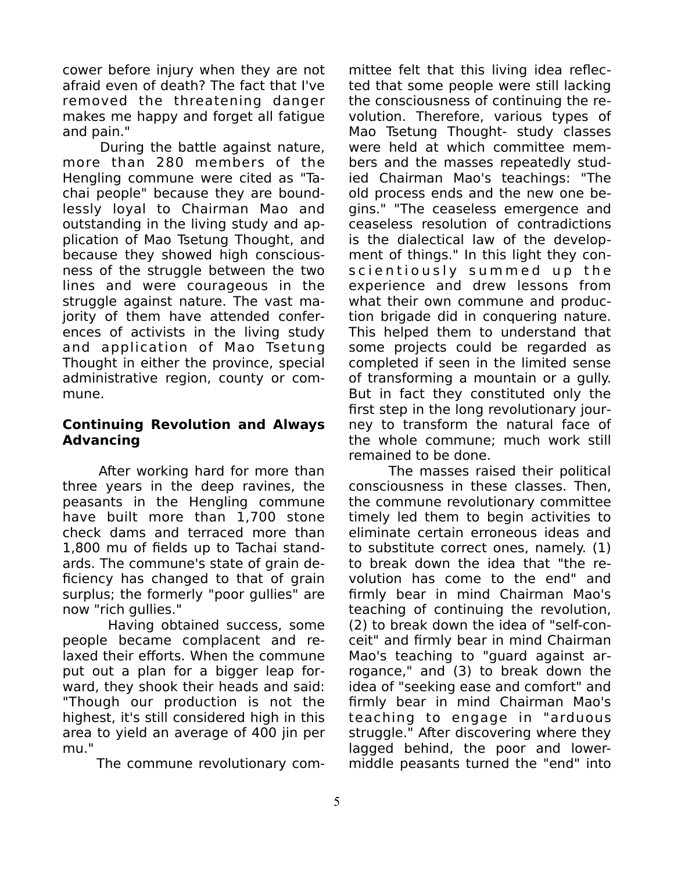cower before injury when they are not afraid even of death? The fact that I've removed the threatening danger makes me happy and forget all fatigue and pain."

During the battle against nature, more than 280 members of the Hengling commune were cited as "Tachai people" because they are boundlessly loyal to Chairman Mao and outstanding in the living study and application of Mao Tsetung Thought, and because they showed high consciousness of the struggle between the two lines and were courageous in the struggle against nature. The vast majority of them have attended conferences of activists in the living study and application of Mao Tsetung Thought in either the province, special administrative region, county or commune.

## **Continuing Revolution and Always Advancing**

After working hard for more than three years in the deep ravines, the peasants in the Hengling commune have built more than 1,700 stone check dams and terraced more than 1,800 mu of fields up to Tachai standards. The commune's state of grain deficiency has changed to that of grain surplus; the formerly "poor gullies" are now "rich gullies."

Having obtained success, some people became complacent and relaxed their efforts. When the commune put out a plan for a bigger leap forward, they shook their heads and said: "Though our production is not the highest, it's still considered high in this area to yield an average of 400 jin per mu."

The commune revolutionary com-

mittee felt that this living idea reflected that some people were still lacking the consciousness of continuing the revolution. Therefore, various types of Mao Tsetung Thought- study classes were held at which committee members and the masses repeatedly studied Chairman Mao's teachings: "The old process ends and the new one begins." "The ceaseless emergence and ceaseless resolution of contradictions is the dialectical law of the development of things." In this light they conscientiously summed up the experience and drew lessons from what their own commune and production brigade did in conquering nature. This helped them to understand that some projects could be regarded as completed if seen in the limited sense of transforming a mountain or a gully. But in fact they constituted only the first step in the long revolutionary journey to transform the natural face of the whole commune; much work still remained to be done.

The masses raised their political consciousness in these classes. Then, the commune revolutionary committee timely led them to begin activities to eliminate certain erroneous ideas and to substitute correct ones, namely. (1) to break down the idea that "the revolution has come to the end" and firmly bear in mind Chairman Mao's teaching of continuing the revolution, (2) to break down the idea of "self-conceit" and firmly bear in mind Chairman Mao's teaching to "guard against arrogance," and (3) to break down the idea of "seeking ease and comfort" and firmly bear in mind Chairman Mao's teaching to engage in "arduous struggle." After discovering where they lagged behind, the poor and lowermiddle peasants turned the "end" into